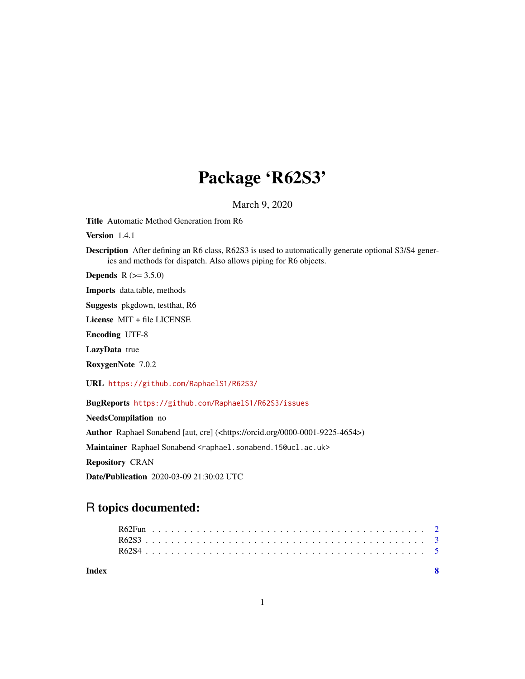## Package 'R62S3'

March 9, 2020

<span id="page-0-0"></span>Title Automatic Method Generation from R6

Version 1.4.1

Description After defining an R6 class, R62S3 is used to automatically generate optional S3/S4 generics and methods for dispatch. Also allows piping for R6 objects.

**Depends** R  $(>= 3.5.0)$ 

Imports data.table, methods

Suggests pkgdown, testthat, R6

License MIT + file LICENSE

Encoding UTF-8

LazyData true

RoxygenNote 7.0.2

URL <https://github.com/RaphaelS1/R62S3/>

BugReports <https://github.com/RaphaelS1/R62S3/issues>

NeedsCompilation no

Author Raphael Sonabend [aut, cre] (<https://orcid.org/0000-0001-9225-4654>)

Maintainer Raphael Sonabend <raphael.sonabend.15@ucl.ac.uk>

Repository CRAN

Date/Publication 2020-03-09 21:30:02 UTC

### R topics documented:

| Index |  |  |  |  |  |  |  |  |  |  |  |  |  |  |  |  |  |  |  |  |  |  |
|-------|--|--|--|--|--|--|--|--|--|--|--|--|--|--|--|--|--|--|--|--|--|--|
|       |  |  |  |  |  |  |  |  |  |  |  |  |  |  |  |  |  |  |  |  |  |  |
|       |  |  |  |  |  |  |  |  |  |  |  |  |  |  |  |  |  |  |  |  |  |  |
|       |  |  |  |  |  |  |  |  |  |  |  |  |  |  |  |  |  |  |  |  |  |  |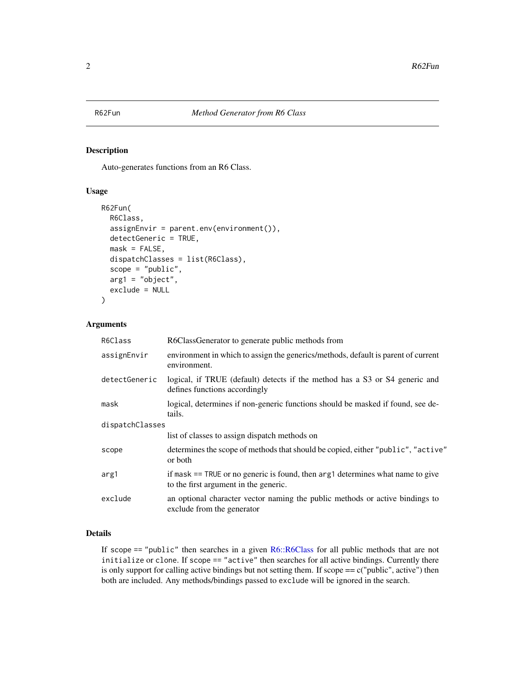<span id="page-1-1"></span><span id="page-1-0"></span>

#### Description

Auto-generates functions from an R6 Class.

#### Usage

```
R62Fun(
 R6Class,
  assignEnvir = parent.env(environment()),
 detectGeneric = TRUE,
 mask = FALSE,dispatchClasses = list(R6Class),
  scope = "public",arg1 = "object",exclude = NULL
)
```
#### Arguments

| R6Class         | R6ClassGenerator to generate public methods from                                                                              |
|-----------------|-------------------------------------------------------------------------------------------------------------------------------|
| assignEnvir     | environment in which to assign the generics/methods, default is parent of current<br>environment.                             |
| detectGeneric   | logical, if TRUE (default) detects if the method has a S3 or S4 generic and<br>defines functions accordingly                  |
| mask            | logical, determines if non-generic functions should be masked if found, see de-<br>tails.                                     |
| dispatchClasses |                                                                                                                               |
|                 | list of classes to assign dispatch methods on                                                                                 |
| scope           | determines the scope of methods that should be copied, either "public", "active"<br>or both                                   |
| arg1            | if mask $==$ TRUE or no generic is found, then $\arg 1$ determines what name to give<br>to the first argument in the generic. |
| exclude         | an optional character vector naming the public methods or active bindings to<br>exclude from the generator                    |

#### Details

If scope  $==$  "public" then searches in a given  $R6::R6Class$  for all public methods that are not initialize or clone. If scope == "active" then searches for all active bindings. Currently there is only support for calling active bindings but not setting them. If scope  $== c("public", active")$  then both are included. Any methods/bindings passed to exclude will be ignored in the search.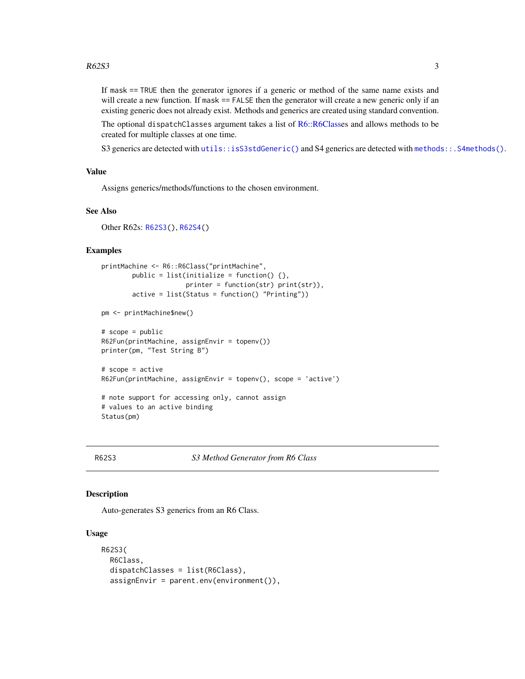<span id="page-2-0"></span>If mask == TRUE then the generator ignores if a generic or method of the same name exists and will create a new function. If mask == FALSE then the generator will create a new generic only if an existing generic does not already exist. Methods and generics are created using standard convention.

The optional dispatchClasses argument takes a list of [R6::R6Classe](#page-0-0)s and allows methods to be created for multiple classes at one time.

S3 generics are detected with [utils::isS3stdGeneric\(\)](#page-0-0) and S4 generics are detected with [methods::.S4methods\(\)](#page-0-0).

#### Value

Assigns generics/methods/functions to the chosen environment.

#### See Also

Other R62s: [R62S3\(](#page-2-1)), [R62S4\(](#page-4-1))

#### Examples

```
printMachine <- R6::R6Class("printMachine",
        public = list(initialize = function() \{\},printer = function(str) print(str),
        active = list(Status = function() "Printing"))
pm <- printMachine$new()
```

```
# scope = public
R62Fun(printMachine, assignEnvir = topenv())
printer(pm, "Test String B")
# scope = active
R62Fun(printMachine, assignEnvir = topenv(), scope = 'active')
# note support for accessing only, cannot assign
# values to an active binding
```

```
Status(pm)
```
<span id="page-2-1"></span>R62S3 *S3 Method Generator from R6 Class*

#### Description

Auto-generates S3 generics from an R6 Class.

#### Usage

```
R62S3(
 R6Class,
  dispatchClasses = list(R6Class),
  assignEnvir = parent.env(environment()),
```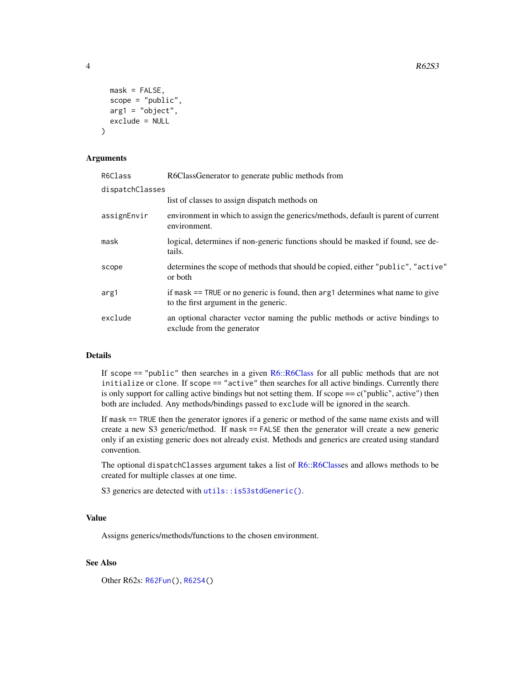```
mask = FALSE,
  scope = "public",arg1 = "object",exclude = NULL
)
```
#### Arguments

| R6Class         | R6ClassGenerator to generate public methods from                                                                        |
|-----------------|-------------------------------------------------------------------------------------------------------------------------|
| dispatchClasses |                                                                                                                         |
|                 | list of classes to assign dispatch methods on                                                                           |
| assignEnvir     | environment in which to assign the generics/methods, default is parent of current<br>environment.                       |
| mask            | logical, determines if non-generic functions should be masked if found, see de-<br>tails.                               |
| scope           | determines the scope of methods that should be copied, either "public", "active"<br>or both                             |
| arg1            | if mask == TRUE or no generic is found, then arg1 determines what name to give<br>to the first argument in the generic. |
| exclude         | an optional character vector naming the public methods or active bindings to<br>exclude from the generator              |

#### Details

If scope == "public" then searches in a given [R6::R6Class](#page-0-0) for all public methods that are not initialize or clone. If scope == "active" then searches for all active bindings. Currently there is only support for calling active bindings but not setting them. If scope  $= c$  ("public", active") then both are included. Any methods/bindings passed to exclude will be ignored in the search.

If mask == TRUE then the generator ignores if a generic or method of the same name exists and will create a new S3 generic/method. If mask == FALSE then the generator will create a new generic only if an existing generic does not already exist. Methods and generics are created using standard convention.

The optional dispatchClasses argument takes a list of [R6::R6Classe](#page-0-0)s and allows methods to be created for multiple classes at one time.

S3 generics are detected with [utils::isS3stdGeneric\(\)](#page-0-0).

#### Value

Assigns generics/methods/functions to the chosen environment.

#### See Also

Other R62s: [R62Fun\(](#page-1-1)), [R62S4\(](#page-4-1))

<span id="page-3-0"></span>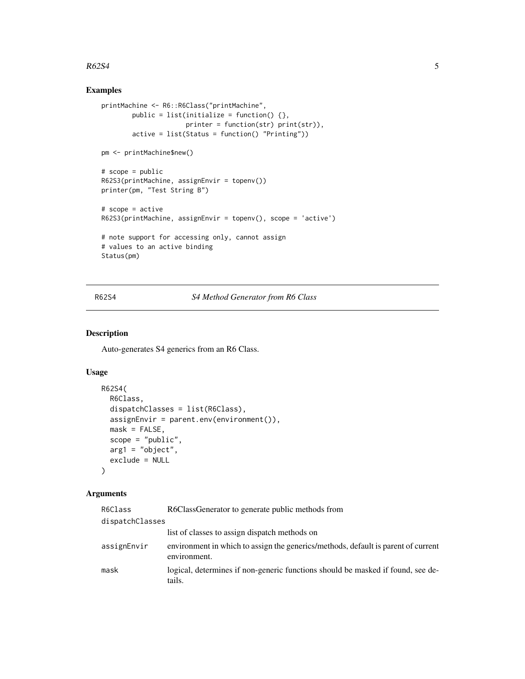#### <span id="page-4-0"></span> $R62S4$  5

#### Examples

```
printMachine <- R6::R6Class("printMachine",
       public = list(initialize = function() \{\},printer = function(str) print(str)),
        active = list(Status = function() "Printing"))
pm <- printMachine$new()
# scope = public
R62S3(printMachine, assignEnvir = topenv())
printer(pm, "Test String B")
# scope = active
R62S3(printMachine, assignEnvir = topenv(), scope = 'active')
# note support for accessing only, cannot assign
# values to an active binding
Status(pm)
```
<span id="page-4-1"></span>R62S4 *S4 Method Generator from R6 Class*

#### Description

Auto-generates S4 generics from an R6 Class.

#### Usage

```
R62S4(
  R6Class,
  dispatchClasses = list(R6Class),
  assignEnvir = parent.env(environment()),
 mask = FALSE,scope = "public",
  arg1 = "object",exclude = NULL
)
```
#### Arguments

| R6Class         | R6ClassGenerator to generate public methods from                                                  |
|-----------------|---------------------------------------------------------------------------------------------------|
| dispatchClasses |                                                                                                   |
|                 | list of classes to assign dispatch methods on                                                     |
| assignEnvir     | environment in which to assign the generics/methods, default is parent of current<br>environment. |
| mask            | logical, determines if non-generic functions should be masked if found, see de-<br>tails.         |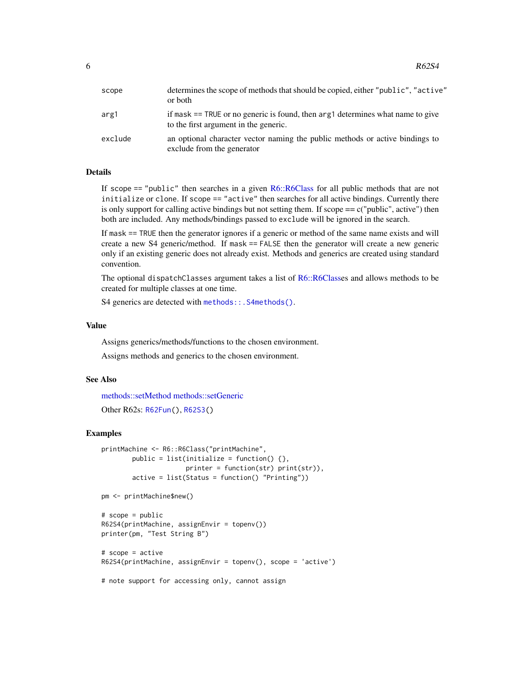<span id="page-5-0"></span>

| scope   | determines the scope of methods that should be copied, either "public", "active"<br>or both                             |
|---------|-------------------------------------------------------------------------------------------------------------------------|
| arg1    | if mask == TRUE or no generic is found, then arg1 determines what name to give<br>to the first argument in the generic. |
| exclude | an optional character vector naming the public methods or active bindings to<br>exclude from the generator              |

#### Details

If scope == "public" then searches in a given [R6::R6Class](#page-0-0) for all public methods that are not initialize or clone. If scope == "active" then searches for all active bindings. Currently there is only support for calling active bindings but not setting them. If scope  $==$  c("public", active") then both are included. Any methods/bindings passed to exclude will be ignored in the search.

If mask == TRUE then the generator ignores if a generic or method of the same name exists and will create a new S4 generic/method. If mask == FALSE then the generator will create a new generic only if an existing generic does not already exist. Methods and generics are created using standard convention.

The optional dispatchClasses argument takes a list of [R6::R6Classe](#page-0-0)s and allows methods to be created for multiple classes at one time.

S4 generics are detected with [methods::.S4methods\(\)](#page-0-0).

#### Value

Assigns generics/methods/functions to the chosen environment.

Assigns methods and generics to the chosen environment.

#### See Also

[methods::setMethod](#page-0-0) [methods::setGeneric](#page-0-0)

```
Other R62s: R62Fun(), R62S3()
```
# scope = active

#### Examples

```
printMachine <- R6::R6Class("printMachine",
        public = list(initialize = function() \{\},
                      printer = function(str) print(str)),
        active = list(Status = function() "Printing"))
pm <- printMachine$new()
# scope = public
R62S4(printMachine, assignEnvir = topenv())
printer(pm, "Test String B")
```

```
R62S4(printMachine, assignEnvir = topenv(), scope = 'active')
```

```
# note support for accessing only, cannot assign
```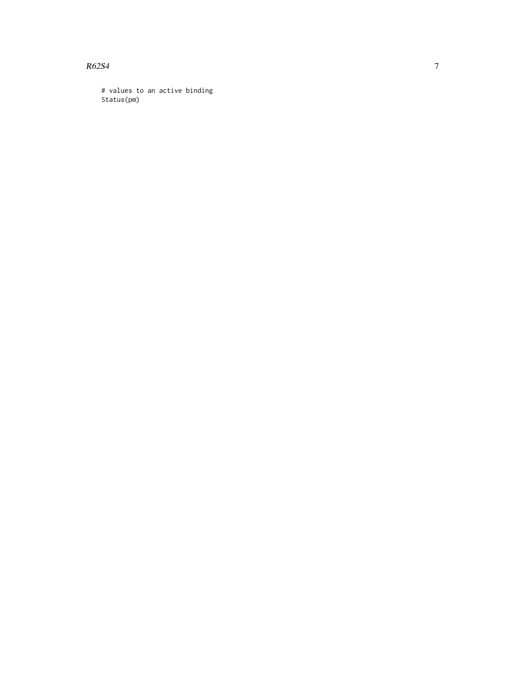R62S4

# values to an active binding Status(pm)